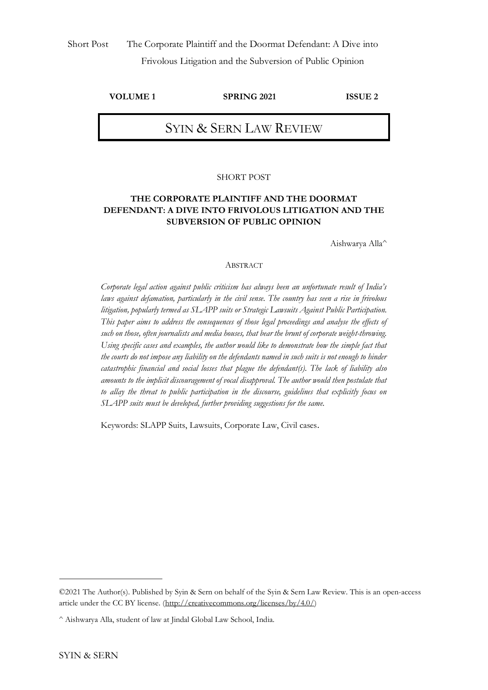## **VOLUME 1 SPRING 2021 ISSUE 2**

# SYIN & SERN LAW REVIEW

### SHORT POST

### **THE CORPORATE PLAINTIFF AND THE DOORMAT DEFENDANT: A DIVE INTO FRIVOLOUS LITIGATION AND THE SUBVERSION OF PUBLIC OPINION**

Aishwarya Alla^

#### ABSTRACT

*Corporate legal action against public criticism has always been an unfortunate result of India's laws against defamation, particularly in the civil sense. The country has seen a rise in frivolous litigation, popularly termed as SLAPP suits or Strategic Lawsuits Against Public Participation. This paper aims to address the consequences of those legal proceedings and analyse the effects of such on those, often journalists and media houses, that bear the brunt of corporate weight-throwing. Using specific cases and examples, the author would like to demonstrate how the simple fact that the courts do not impose any liability on the defendants named in such suits is not enough to hinder catastrophic financial and social losses that plague the defendant(s). The lack of liability also amounts to the implicit discouragement of vocal disapproval. The author would then postulate that to allay the threat to public participation in the discourse, guidelines that explicitly focus on SLAPP suits must be developed, further providing suggestions for the same.*

Keywords: SLAPP Suits, Lawsuits, Corporate Law, Civil cases.

<sup>©2021</sup> The Author(s). Published by Syin & Sern on behalf of the Syin & Sern Law Review. This is an open-access article under the CC BY license. [\(http://creativecommons.org/licenses/by/4.0/\)](http://creativecommons.org/licenses/by/4.0/)

<sup>^</sup> Aishwarya Alla, student of law at Jindal Global Law School, India.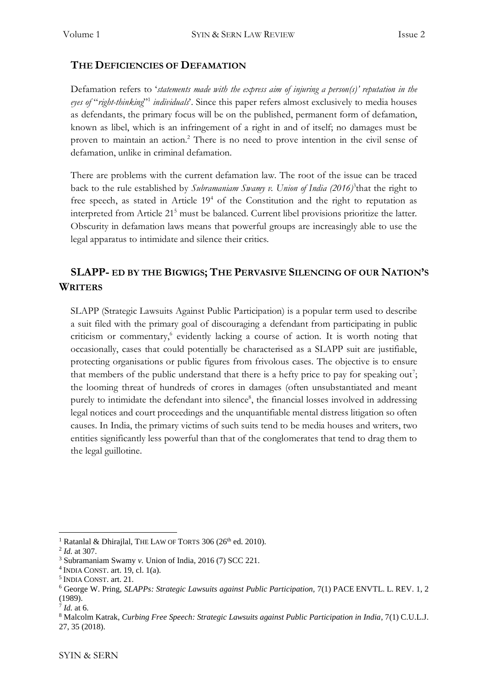## **THE DEFICIENCIES OF DEFAMATION**

Defamation refers to '*statements made with the express aim of injuring a person(s)' reputation in the eyes of* "*right-thinking*" 1 *individuals*'. Since this paper refers almost exclusively to media houses as defendants, the primary focus will be on the published, permanent form of defamation, known as libel, which is an infringement of a right in and of itself; no damages must be proven to maintain an action.<sup>2</sup> There is no need to prove intention in the civil sense of defamation, unlike in criminal defamation.

There are problems with the current defamation law. The root of the issue can be traced back to the rule established by *Subramaniam Swamy v*. Union of India (2016)<sup>3</sup> that the right to free speech, as stated in Article  $19<sup>4</sup>$  of the Constitution and the right to reputation as interpreted from Article 21<sup>5</sup> must be balanced. Current libel provisions prioritize the latter. Obscurity in defamation laws means that powerful groups are increasingly able to use the legal apparatus to intimidate and silence their critics.

## **SLAPP- ED BY THE BIGWIGS; THE PERVASIVE SILENCING OF OUR NATION'S WRITERS**

SLAPP (Strategic Lawsuits Against Public Participation) is a popular term used to describe a suit filed with the primary goal of discouraging a defendant from participating in public criticism or commentary,<sup>6</sup> evidently lacking a course of action. It is worth noting that occasionally, cases that could potentially be characterised as a SLAPP suit are justifiable, protecting organisations or public figures from frivolous cases. The objective is to ensure that members of the public understand that there is a hefty price to pay for speaking out?; the looming threat of hundreds of crores in damages (often unsubstantiated and meant purely to intimidate the defendant into silence<sup>8</sup>, the financial losses involved in addressing legal notices and court proceedings and the unquantifiable mental distress litigation so often causes. In India, the primary victims of such suits tend to be media houses and writers, two entities significantly less powerful than that of the conglomerates that tend to drag them to the legal guillotine.

<sup>&</sup>lt;sup>1</sup> Ratanlal & Dhirajlal, THE LAW OF TORTS 306 (26<sup>th</sup> ed. 2010).

<sup>2</sup> *Id.* at 307.

<sup>3</sup> Subramaniam Swamy *v.* Union of India, 2016 (7) SCC 221.

 $<sup>4</sup>$  INDIA CONST. art. 19, cl. 1(a).</sup>

<sup>5</sup> INDIA CONST. art. 21.

<sup>6</sup> George W. Pring, *SLAPPs: Strategic Lawsuits against Public Participation,* 7(1) PACE ENVTL. L. REV. 1, 2 (1989).

<sup>7</sup> *Id.* at 6.

<sup>8</sup> Malcolm Katrak, *Curbing Free Speech: Strategic Lawsuits against Public Participation in India*, 7(1) C.U.L.J. 27, 35 (2018).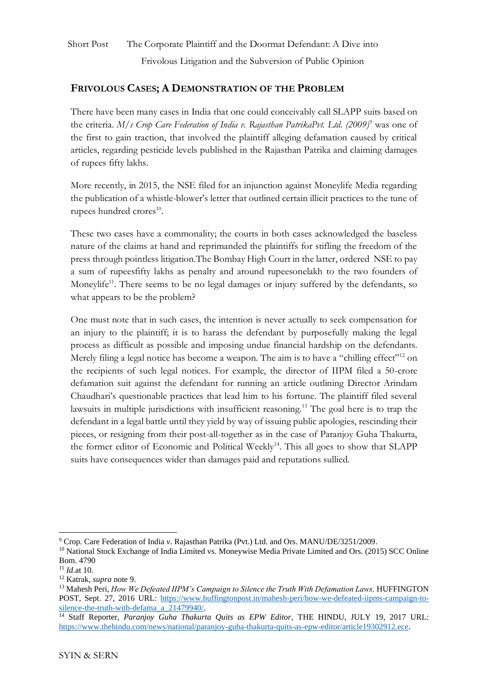# Short Post The Corporate Plaintiff and the Doormat Defendant: A Dive into Frivolous Litigation and the Subversion of Public Opinion

## **FRIVOLOUS CASES; A DEMONSTRATION OF THE PROBLEM**

There have been many cases in India that one could conceivably call SLAPP suits based on the criteria. *M/s Crop Care Federation of India v. Rajasthan PatrikaPvt. Ltd. (2009)*<sup>9</sup> was one of the first to gain traction, that involved the plaintiff alleging defamation caused by critical articles, regarding pesticide levels published in the Rajasthan Patrika and claiming damages of rupees fifty lakhs.

More recently, in 2015, the NSE filed for an injunction against Moneylife Media regarding the publication of a whistle-blower's letter that outlined certain illicit practices to the tune of rupees hundred crores<sup>10</sup>.

These two cases have a commonality; the courts in both cases acknowledged the baseless nature of the claims at hand and reprimanded the plaintiffs for stifling the freedom of the press through pointless litigation.The Bombay High Court in the latter, ordered NSE to pay a sum of rupeesfifty lakhs as penalty and around rupeesonelakh to the two founders of Moneylife<sup>11</sup>. There seems to be no legal damages or injury suffered by the defendants, so what appears to be the problem?

One must note that in such cases, the intention is never actually to seek compensation for an injury to the plaintiff; it is to harass the defendant by purposefully making the legal process as difficult as possible and imposing undue financial hardship on the defendants. Merely filing a legal notice has become a weapon. The aim is to have a "chilling effect"<sup>12</sup> on the recipients of such legal notices. For example, the director of IIPM filed a 50-crore defamation suit against the defendant for running an article outlining Director Arindam Chaudhari's questionable practices that lead him to his fortune. The plaintiff filed several lawsuits in multiple jurisdictions with insufficient reasoning.<sup>13</sup> The goal here is to trap the defendant in a legal battle until they yield by way of issuing public apologies, rescinding their pieces, or resigning from their post-all-together as in the case of Paranjoy Guha Thakurta, the former editor of Economic and Political Weekly<sup>14</sup>. This all goes to show that SLAPP suits have consequences wider than damages paid and reputations sullied.

<sup>9</sup> Crop. Care Federation of India *v.* Rajasthan Patrika (Pvt.) Ltd. and Ors. MANU/DE/3251/2009.

<sup>&</sup>lt;sup>10</sup> National Stock Exchange of India Limited vs. Moneywise Media Private Limited and Ors. (2015) SCC Online Bom. 4790

<sup>11</sup> *Id.*at 10.

<sup>12</sup> Katrak, *supra* note 9.

<sup>&</sup>lt;sup>13</sup> Mahesh Peri, *How We Defeated IIPM's Campaign to Silence the Truth With Defamation Laws, HUFFINGTON* POST, Sept. 27, 2016 URL: [https://www.huffingtonpost.in/mahesh-peri/how-we-defeated-iipms-campaign-to](https://www.huffingtonpost.in/mahesh-peri/how-we-defeated-iipms-campaign-to-silence-the-truth-with-defama_a_21479940/)[silence-the-truth-with-defama\\_a\\_21479940/.](https://www.huffingtonpost.in/mahesh-peri/how-we-defeated-iipms-campaign-to-silence-the-truth-with-defama_a_21479940/)

<sup>&</sup>lt;sup>14</sup> Staff Reporter, *Paranjoy Guha Thakurta Quits as EPW Editor*, THE HINDU, JULY 19, 2017 URL: [https://www.thehindu.com/news/national/paranjoy-guha-thakurta-quits-as-epw-editor/article19302912.ece.](https://www.thehindu.com/news/national/paranjoy-guha-thakurta-quits-as-epw-editor/article19302912.ece)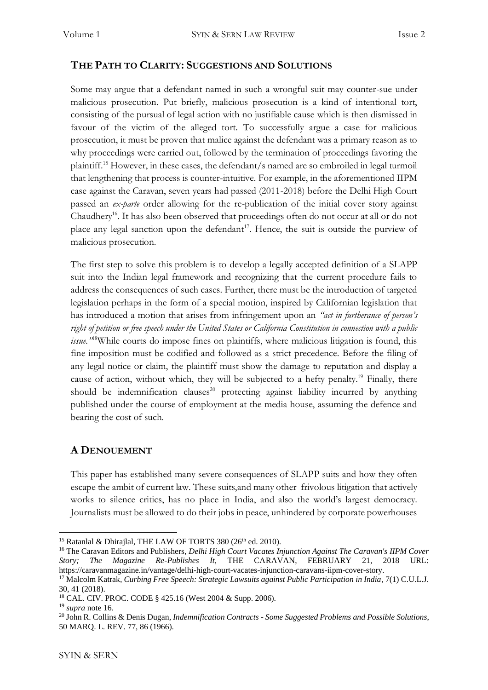## **THE PATH TO CLARITY: SUGGESTIONS AND SOLUTIONS**

Some may argue that a defendant named in such a wrongful suit may counter-sue under malicious prosecution. Put briefly, malicious prosecution is a kind of intentional tort, consisting of the pursual of legal action with no justifiable cause which is then dismissed in favour of the victim of the alleged tort. To successfully argue a case for malicious prosecution, it must be proven that malice against the defendant was a primary reason as to why proceedings were carried out, followed by the termination of proceedings favoring the plaintiff.<sup>15</sup> However, in these cases, the defendant/s named are so embroiled in legal turmoil that lengthening that process is counter-intuitive. For example, in the aforementioned IIPM case against the Caravan, seven years had passed (2011-2018) before the Delhi High Court passed an *ex-parte* order allowing for the re-publication of the initial cover story against Chaudhery<sup>16</sup>. It has also been observed that proceedings often do not occur at all or do not place any legal sanction upon the defendant<sup>17</sup>. Hence, the suit is outside the purview of malicious prosecution.

The first step to solve this problem is to develop a legally accepted definition of a SLAPP suit into the Indian legal framework and recognizing that the current procedure fails to address the consequences of such cases. Further, there must be the introduction of targeted legislation perhaps in the form of a special motion, inspired by Californian legislation that has introduced a motion that arises from infringement upon an *"act in furtherance of person's right of petition or free speech under the United States or California Constitution in connection with a public issue."*<sup>18</sup>While courts do impose fines on plaintiffs, where malicious litigation is found, this fine imposition must be codified and followed as a strict precedence. Before the filing of any legal notice or claim, the plaintiff must show the damage to reputation and display a cause of action, without which, they will be subjected to a hefty penalty.<sup>19</sup> Finally, there should be indemnification clauses<sup>20</sup> protecting against liability incurred by anything published under the course of employment at the media house, assuming the defence and bearing the cost of such.

### **A DENOUEMENT**

This paper has established many severe consequences of SLAPP suits and how they often escape the ambit of current law. These suits,and many other frivolous litigation that actively works to silence critics, has no place in India, and also the world's largest democracy. Journalists must be allowed to do their jobs in peace, unhindered by corporate powerhouses

<sup>&</sup>lt;sup>15</sup> Ratanlal & Dhirajlal, THE LAW OF TORTS 380 (26<sup>th</sup> ed. 2010).

<sup>16</sup> The Caravan Editors and Publishers, *Delhi High Court Vacates Injunction Against The Caravan's IIPM Cover Story; The Magazine Re-Publishes It,* THE CARAVAN, FEBRUARY 21, 2018 URL: https://caravanmagazine.in/vantage/delhi-high-court-vacates-injunction-caravans-iipm-cover-story.

<sup>&</sup>lt;sup>17</sup> Malcolm Katrak, *Curbing Free Speech: Strategic Lawsuits against Public Participation in India*, 7(1) C.U.L.J. 30, 41 (2018).

<sup>18</sup> CAL. CIV. PROC. CODE § 425.16 (West 2004 & Supp. 2006).

<sup>19</sup> *supra* note 16.

<sup>20</sup> John R. Collins & Denis Dugan, *Indemnification Contracts - Some Suggested Problems and Possible Solutions*, 50 MARQ. L. REV. 77, 86 (1966).